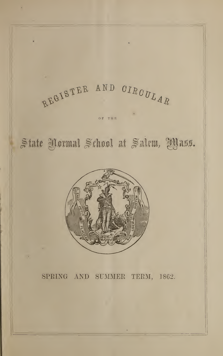

OF Til <sup>B</sup>

# State Yormal School at Salem, IYass.



# SPRING AND SUMMER TERM, 1862.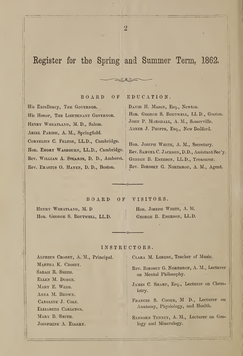# Register for the Spring and Summer Term, 1862,

 $\overline{2}$ 

BOARD OF EDUCATION.

His Excellency, The Governor. His Honor, THE LIEUTENANT GOVERNOR. HENRY WHEATLAND, M. D., Salem. ARIEL PARISH, A. M., Springfield. CORNELIUS C. FELTON, LL.D., Cambridge. Hon. EMORY WASHBURN, LL.D., Cambridge. Rev. William A. Stearns, D. D., Amherst. Rev. Erastus 0. Haven, D. D., Boston.

DAVID H. MASON, Esq., Newton. Hon. GEORGE S. BOUTWELL, LL D., Groton. JOHN P. MARSHALL, A. M., Somerville. ABNER J. PHIPPS, Esq., New Bedford.

Hon. JOSEPH WHITE, A. M., Secretary. Rev. Samuel C. Jackson, D.D., Assistant Sec'y. George B. Emerson, LL.D., Treasurer. Rev. Birdsey G. Northrop, A. M., Agent.

BOARD OF VISITORS.

Henry Wheatland, M. D Hon. GEORGE S. BOUTWELL, LL.D. Hon. Joseph White, A. M. George B. Emerson, LL.D.

### INSTRUCTORS.

Alpheus Crosby, A. M., Principal. MARTHA K. CROSBY. SARAH R. SMITH. Ellen M. Dodge. MARY E. WEBB. ANNA M. BROWN. Caroline J. Cole. ELIZABETH CARLETON. MARY B. SMITH. Josephine A. Ellery.

Clara M. Loring, Teacher of Music.

Rev. Birdsey G. Northrop, A. M., Lecturer on Mental Philosophy.

JAMES C. SHARP, Esq., Lecturer on Chemistry.

Frances S. Cooke, M D., Lecturer on Anatomy, Physiology, and Health.

SANBORN TENNEY, A. M., Lecturer on Geology and Mineralogy.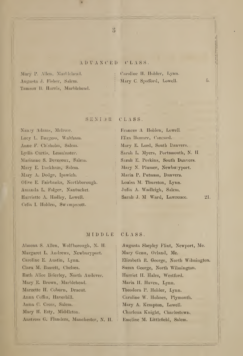### ADVANCED CLASS.

Mary P. Allen, Marblehead. Augusta J. Fisher, Salem. Tamson B. Harris, Marblehead.

Caroline II. Holder, Lynn. Mary C. Spofford, Lowell. 5.

### SENIJR CLASS.

Nancy Adams, Melrose. Lucy L. Burgess, Waltham. Anne F. Chisholm, Salem. Lydia Curtis, Leominster. Marianne S. Devereux, Salem. Mary E. Dockham, Salem. Mary A. Dodge, Ipswich. Olive E. Fairbanks, Northborough. Amanda L. Folger, Nantucket. Ilarriette A. Hadley, Lowell. Celia I. Ilolden, Swimpscott.

Frances A Ilolden, Lowell Eliza Hosmer, Concord. Mary E. Lord, South Danvers. Sarah L. Myers, Portsmouth, N. II. Sarah E. Ferkins, South Danvers. Mary N. Plumer, Newburyport. Maria P. Putnam, Danvers. Louisa M. Thurston, Lynn. Julia A. Wadleigh, Salem. Sarah J. M Ward, Lawrence. 21.

### MIDDLE CLASS.

Almena S. Allen, Wolfborough, N. II. Margaret L. Andrews, Newburyport. Caroline E. Austin, Lynn. Clara M. Bassett, Chelsea. Ruth Alice Brierley, North Andover. Mary E. Brown, Marblehead. Marzette II. Coburn, Dracut. Anna Coffin, Haverhill. Anna C. Cross, Salem. Mary H. Esty, Middleton. Anstress G. Flanders, Manchester, N. H.

Augusta Shepley Flint, Newport, Me. Mary Genu, Orland, Me. Elizabeth R. George, North Wilmington. Susan George, North Wilmington. Harriet II. Hales, Westford. Maria II. Haven, Lynn. Theodora P. Holder, Lynn. Caroline W. Holmes, Plymouth. Mary A. Kempton, Lowell. Charlena Knight, Charlestown. Emeline M. Littlefield, Salem.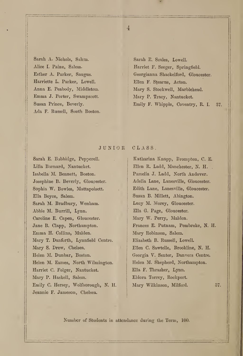Sarah A. Nichols, Salem. Alice I. Paine, Salem. Esther A. Parker, Saugus. Harriette L. Parker, Lowell. Anna E. Peabody, Middleton. Emma J. Porter, Swampscott Susan Prince, Beverly. Ada F. Russell, South Boston.

Sarah E. Scales, Lowell. Harriet F. Seeger, Springfield. Georgianna Shackelford, Gloucester. Ellen F. Stearns, Acton. Mary S. Stockwell, Marblehead. Mary P. Tracy, Nantucket. Emily F. Whipple, Coventry, R. I. 37.

### JUNIOR CLASS.

Sarah E. Babbidge, Pepperell. Lilla Barnard, Nantucket. Isabella M. Bennett, Boston. Josephine B. Beverly, Gloucester. Sophia W. Bowles, Mattapoisett. Ella Boyce, Salem. Sarah M. Bradbury, Wenham. Abbie M. Burrill, Lynn. Caroline E. Capen, Gloucester. Jane B. Clapp, Northampton. Emma H. Collins, Malden. Mary T. Danforth, Lynnfield Centre. Mary S. Drew, Chelsea. Helen M. Dunbar, Boston. Helen M. Eames, North Wilmington. Harriet C. Folger, Nantucket. Mary P. Haskell, Salem. Emily C. Hersey, Wolfborough, N. H. Jeannie F. Jameson, Chelsea.

Katharina Knapp, Brompton, C. E. Ellen R. Ladd, Manchester, N. H. Pamelia J. Ladd, North Andover. Adelia Lane, Lanesville, Gloucester. Edith Lane, Lanesville, Gloucester. Susan B. Millett, Abington. Lucy M. Morey, Gloucester. Ella G. Page, Gloucester. Mary W. Perry, Maiden. Frances E. Putnam, Pembroke, N. H. Mary Robinson, Salem. Elizabeth B. Russell, Lowell. Ellen C. Sawtelle, Brookline, N. H. Georgia V. Senter. Danvers Centre. Helen M. Shepherd, Northampton. Ella F. Thrasher, Lynn. Eldora Torrey, Rockport. Mary Wilkinson, Milford. 37.

Number of Students in attendance during the Term, 100.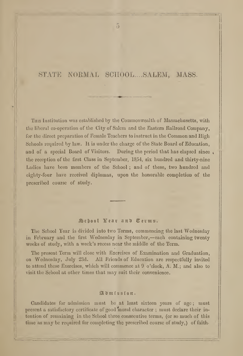### STATE NORMAL SCHOOL.... SALEM, MASS.

This Institution was established by the Commonwealth of Massachusetts, with the liberal co-operation of the City of Salem and the Eastern Railroad Company, for the direct preparation of Female Teachers to instruct in the Common and High Schools required by law. It is under the charge of the State Board of Education, and of a special Board of Visitors. During the period that has elapsed since, the reception of the first Class in September, 1854, six hundred and thirty-nine Ladies have been members of the School ; and of these, two hundred and eighty-four have received diplomas, upon the honorable completion of the prescribed course of study.

### School Fear and Terms.

The School Year is divided into two Terms, commencing the last Wednesday in February and the first Wednesday in September,—each containing twenty weeks of study, with a week's recess near the middle of the Term.

The present Term will close with Exercises of Examination and Graduation, on Wednesday, July 23d. All Friends of Education are respectfully invited to attend these Exercises, which will commence at 9 o'clock, A. M.; and also to visit the School at other times that may suit their convenience.

### $\mathfrak{A}$  d  $\mathfrak{m}$  is  $s$  i  $\mathfrak{a}$   $\mathfrak{n}$ .

Candidates for admission must be at least sixteen years of age; must present a satisfactory certificate of good moral character; must declare their intention of remaining in the School three consecutive terms, (or so much of this time as may be required for completing the prescribed course of study,) of faith-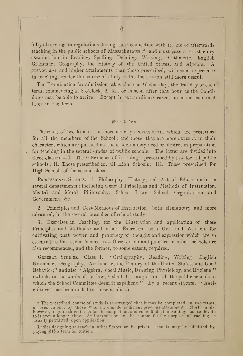fully observing its regulations during their connection with it, and of afterwards teaching in the public schools of Massachusetts ;\* and must pass a satisfactory examination in Reading, Spelling, Defining, Writing, Arithmetic, English Grammar, Geography, the History of the United States, and Algebra. A greater age and higher attainments than those prescribed, with some experience in teaching, render the course of study in the Institution still more useful.

The Examination for admission takes place on Wednesday, the first day of each term, commencing at 8 o'clock, A. M., or as soon after that hour as the Candidates may be able to arrive. Except in extraordinary cases, no one is examined later in the term.

### $\mathbb{S}$ tud frs.

These are of two kinds: the more strictly professional, which are prescribed for all the members of the School; and those that are more GENERAL in their character, which are pursued as the students may need or desire, in preparation for teaching in the several grades of public schools. The latter are divided into three classes :- I. The " Branches of Learning" prescribed by law for all public schools ; II. Those prescribed for all High Schools ; 111. Those prescribed for High Schools of the second class.

PROFESSIONAL STUDIES. 1. Philosophy, History, and Art of Education in its several departments; including General Principles and Methods of Instruction, Mental and Moral Philosophy, School Laws, School Organization and Government, &c.

2. Principles and Best Methods of Instruction, both elementary and more advanced, in the several branches of school study.

3. Exercises in Teaching, for the illustration and application of these Principles and Methods; and other Exercises, both Oral and Written, for cultivating that power and propriety of thought and expression which are so essential to the teacher's success.— Observation and practice in other schools are also recommended, and the former, to some extent, required.

GENERAL STUDIES. Class I. " Orthography, Reading, Writing, English Grammar, Geography, Arithmetic, the History of the United States, and Good Behavior;" and also " Algebra, Vocal Music, Drawing, Physiology, and Hygiene," (which, in the words of the law, " shall be taught in all the public schools in which the School Committee deem it expedient." By a recent statute, " Agriculture" has been added to these studies.)

<sup>\*</sup> The prescribed course of study is so arranged that it may be completed in two terms, or even in one, by those who have made sufficient previous attainment. Most pupils, however, require three terms for its completion, and some find it advantageous to devote to it even <sup>a</sup> longer time. An intermission in the course for the purpose of teaching is usually permitted, upon application.

Ladies designing to teach in other States or in private schools may be admitted by paying  $$15$  a term for tuition.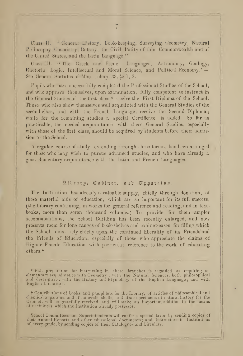Class II. " General History, Book-keeping, Surveying, Geometry, Natural Philosophy, Chemistry, Botany, the Civil Polity of this Commonwealth and of the United States, and the Latin Language."

Class III. "The Greek and French Languages, Astronomy, Geology, Rhetoric, Logic, Intellectual and Moral Science, and Political Economy."-See General Statutes of Mass., chap.  $38, \frac{6}{9}$  1, 2.

Pupils who have successfully completed the Professional Studies of the School, and who approve themselves, upon examination, fully competent to instruct in the General Studies of the first class,\* receive the First Diploma of the School. Those who also show themselves well acquainted with the General Studies of the second class, and with the French Language, receive the Second Dirloma; while for the remaining studies a special Certificate is added. So far as practicable, the needed acquaintance with these General Studies, especially with those of the first class, should be acquired by students before their admission to the School.

A regular course of study, extending through three terms, has been arranged for those who may wish to pursue advanced studies, and who have already a good elementary acquaintance with the Latin and French Languages.

### Albrary, Cabinet, and Apparatus.

The Institution has already a valuable supply, chiefly through donation, of these material aids of education, which are so important for its full success, (the Library containing, in works for general reference and reading, and in text books, more than seven thousand volumes.) To provide for them ampler accommodations, the School Building has been recently enlarged, and now presents room for long ranges of book-shelves and cabinet-cases, for filling which the School must rely chiefly upon the continued liberality of its Friends and the Friends of Education, especially of those who appreciate the claims of Higher Female Education with particular reference to the work of educating others.

f Contributions of books and pamphlets for the Library, of articles of philosophical and chemical apparatus, and of minerals, shells, and other specimens of natural history for the Cabinet, will be gratefully received, and will make an important addition to the means of usefulness which the Institution already possesses.

School Committees and Superintendents will confer a special favor by sending copies of the Secho their Annual Reports and other educational documents; and Instructors in Institutions of every grade, by sending copies of their Catalogues and Circulars.

<sup>\*</sup> Full preparation for instructing in those branches is rogaided as requiring an elementary acquaintance with Geometry ; with the Natural Sciences, both philosophical and descriptive ; with the History and Etymology of the English Language ; and with English Literature.